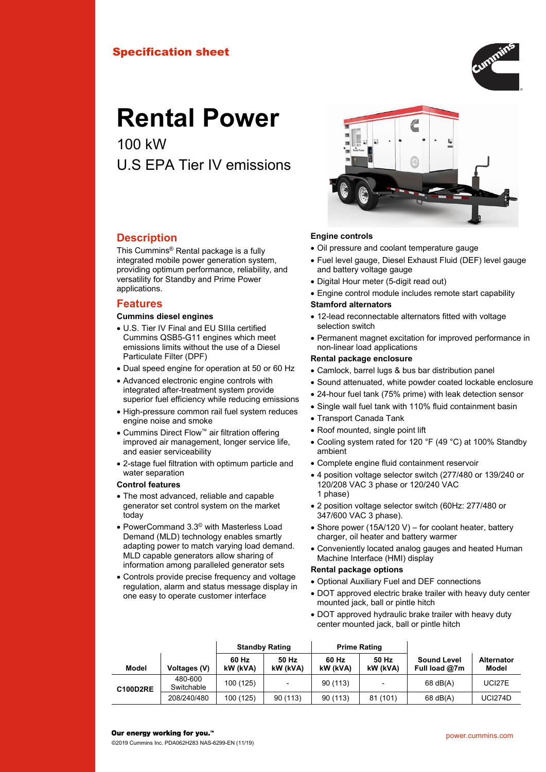## Specification sheet



# **Rental Power**

100 kW U.S EPA Tier IV emissions



This Cummins® Rental package is a fully integrated mobile power generation system, providing optimum performance, reliability, and versatility for Standby and Prime Power applications.

### **Features**

#### **Cummins diesel engines**

- U.S. Tier IV Final and EU SIIIa certified Cummins QSB5-G11 engines which meet emissions limits without the use of a Diesel Particulate Filter (DPF)
- Dual speed engine for operation at 50 or 60 Hz
- Advanced electronic engine controls with integrated after-treatment system provide superior fuel efficiency while reducing emissions
- High-pressure common rail fuel system reduces engine noise and smoke
- Cummins Direct Flow™ air filtration offering improved air management, longer service life, and easier serviceability
- 2-stage fuel filtration with optimum particle and water separation

#### **Control features**

- The most advanced, reliable and capable generator set control system on the market today
- PowerCommand 3.3© with Masterless Load Demand (MLD) technology enables smartly adapting power to match varying load demand. MLD capable generators allow sharing of information among paralleled generator sets
- Controls provide precise frequency and voltage regulation, alarm and status message display in one easy to operate customer interface



- Oil pressure and coolant temperature gauge
- Fuel level gauge, Diesel Exhaust Fluid (DEF) level gauge and battery voltage gauge
- Digital Hour meter (5-digit read out)
- Engine control module includes remote start capability **Stamford alternators**
- 12-lead reconnectable alternators fitted with voltage selection switch
- Permanent magnet excitation for improved performance in non-linear load applications

#### **Rental package enclosure**

- Camlock, barrel lugs & bus bar distribution panel
- Sound attenuated, white powder coated lockable enclosure
- 24-hour fuel tank (75% prime) with leak detection sensor
- Single wall fuel tank with 110% fluid containment basin
- Transport Canada Tank
- Roof mounted, single point lift
- Cooling system rated for 120 °F (49 °C) at 100% Standby ambient
- Complete engine fluid containment reservoir
- 4 position voltage selector switch (277/480 or 139/240 or 120/208 VAC 3 phase or 120/240 VAC 1 phase)
- 2 position voltage selector switch (60Hz: 277/480 or 347/600 VAC 3 phase).
- Shore power (15A/120 V) for coolant heater, battery charger, oil heater and battery warmer
- Conveniently located analog gauges and heated Human Machine Interface (HMI) display

#### **Rental package options**

- Optional Auxiliary Fuel and DEF connections
- DOT approved electric brake trailer with heavy duty center mounted jack, ball or pintle hitch
- DOT approved hydraulic brake trailer with heavy duty center mounted jack, ball or pintle hitch

|                 |                       | <b>Standby Rating</b> |                   |                   | <b>Prime Rating</b>      |                                     |                            |
|-----------------|-----------------------|-----------------------|-------------------|-------------------|--------------------------|-------------------------------------|----------------------------|
| Model           | Voltages (V)          | 60 Hz<br>kW (kVA)     | 50 Hz<br>kW (kVA) | 60 Hz<br>kW (kVA) | 50 Hz<br>kW (kVA)        | <b>Sound Level</b><br>Full load @7m | <b>Alternator</b><br>Model |
| <b>C100D2RE</b> | 480-600<br>Switchable | 100 (125)             | -                 | 90(113)           | $\overline{\phantom{0}}$ | $68$ dB(A)                          | UCI27E                     |
|                 | 208/240/480           | 100 (125)             | 90(113)           | 90(113)           | 81(101)                  | $68$ dB(A)                          | <b>UCI274D</b>             |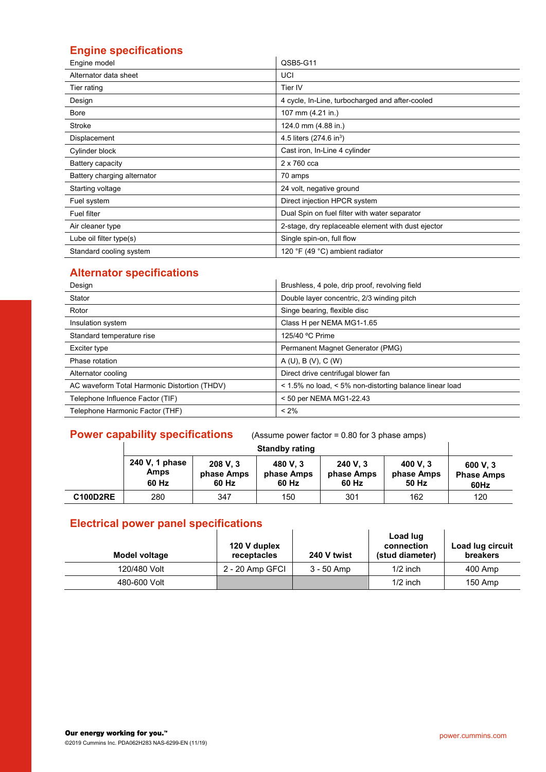## **Engine specifications**

| Engine model                | QSB5-G11                                           |
|-----------------------------|----------------------------------------------------|
| Alternator data sheet       | UCI                                                |
| Tier rating                 | Tier IV                                            |
| Design                      | 4 cycle, In-Line, turbocharged and after-cooled    |
| Bore                        | 107 mm (4.21 in.)                                  |
| Stroke                      | 124.0 mm (4.88 in.)                                |
| Displacement                | 4.5 liters $(274.6 \text{ in}^3)$                  |
| Cylinder block              | Cast iron, In-Line 4 cylinder                      |
| Battery capacity            | 2 x 760 cca                                        |
| Battery charging alternator | 70 amps                                            |
| Starting voltage            | 24 volt, negative ground                           |
| Fuel system                 | Direct injection HPCR system                       |
| <b>Fuel filter</b>          | Dual Spin on fuel filter with water separator      |
| Air cleaner type            | 2-stage, dry replaceable element with dust ejector |
| Lube oil filter type(s)     | Single spin-on, full flow                          |
| Standard cooling system     | 120 °F (49 °C) ambient radiator                    |

## **Alternator specifications**

| Brushless, 4 pole, drip proof, revolving field<br>Double layer concentric, 2/3 winding pitch | Alternator specifications                    |
|----------------------------------------------------------------------------------------------|----------------------------------------------|
|                                                                                              | Design                                       |
|                                                                                              | Stator                                       |
| Singe bearing, flexible disc                                                                 | Rotor                                        |
| Class H per NEMA MG1-1.65                                                                    | Insulation system                            |
| 125/40 °C Prime                                                                              | Standard temperature rise                    |
| Permanent Magnet Generator (PMG)                                                             | Exciter type                                 |
| A(U), B(V), C(W)                                                                             | Phase rotation                               |
| Direct drive centrifugal blower fan                                                          | Alternator cooling                           |
| < 1.5% no load, < 5% non-distorting balance linear load                                      | AC waveform Total Harmonic Distortion (THDV) |
| < 50 per NEMA MG1-22.43                                                                      | Telephone Influence Factor (TIF)             |
| $< 2\%$                                                                                      | Telephone Harmonic Factor (THF)              |

## **Power capability specifications** (Assume power factor = 0.80 for 3 phase amps)

|                 | 240 V, 1 phase<br>Amps<br>60 Hz | 600 V.3<br><b>Phase Amps</b><br>60Hz |     |     |     |     |
|-----------------|---------------------------------|--------------------------------------|-----|-----|-----|-----|
| <b>C100D2RE</b> | 280                             | 347                                  | 150 | 301 | 162 | 120 |

## **Electrical power panel specifications**

| Electrical power panel specifications |                             |             |                                           |                                     |  |  |  |  |  |
|---------------------------------------|-----------------------------|-------------|-------------------------------------------|-------------------------------------|--|--|--|--|--|
| Model voltage                         | 120 V duplex<br>receptacles | 240 V twist | Load lug<br>connection<br>(stud diameter) | Load lug circuit<br><b>breakers</b> |  |  |  |  |  |
| 120/480 Volt                          | 2 - 20 Amp GFCI             | 3 - 50 Amp  | $1/2$ inch                                | 400 Amp                             |  |  |  |  |  |
| 480-600 Volt                          |                             |             | $1/2$ inch                                | 150 Amp                             |  |  |  |  |  |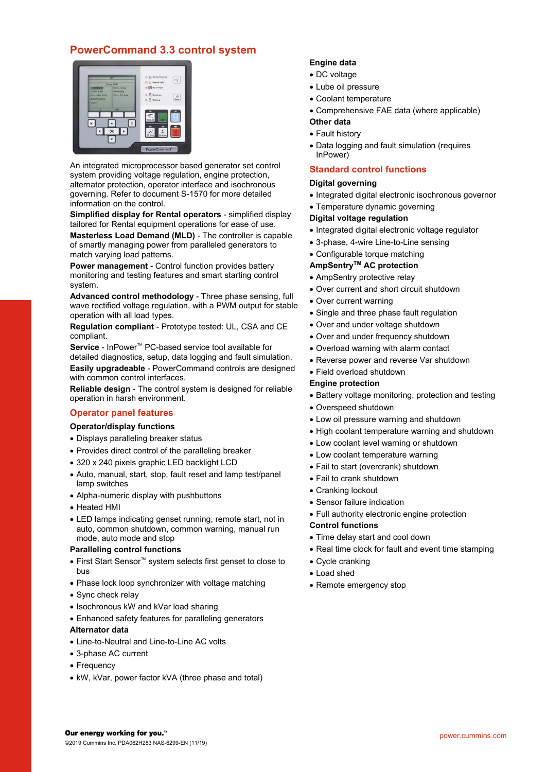## **PowerCommand 3.3 control system**



An integrated microprocessor based generator set control system providing voltage regulation, engine protection, alternator protection, operator interface and isochronous governing. Refer to document S-1570 for more detailed information on the control.

**Simplified display for Rental operators** - simplified display tailored for Rental equipment operations for ease of use.

**Masterless Load Demand (MLD)** - The controller is capable of smartly managing power from paralleled generators to match varying load patterns.

**Power management** - Control function provides battery monitoring and testing features and smart starting control system.

**Advanced control methodology** - Three phase sensing, full wave rectified voltage regulation, with a PWM output for stable operation with all load types.

**Regulation compliant** - Prototype tested: UL, CSA and CE compliant.

**Service** - InPower™ PC-based service tool available for detailed diagnostics, setup, data logging and fault simulation.

**Easily upgradeable** - PowerCommand controls are designed with common control interfaces.

**Reliable design** - The control system is designed for reliable operation in harsh environment.

#### **Operator panel features**

#### **Operator/display functions**

- Displays paralleling breaker status
- Provides direct control of the paralleling breaker
- 320 x 240 pixels graphic LED backlight LCD
- Auto, manual, start, stop, fault reset and lamp test/panel lamp switches
- Alpha-numeric display with pushbuttons
- Heated HMI
- LED lamps indicating genset running, remote start, not in auto, common shutdown, common warning, manual run mode, auto mode and stop

#### **Paralleling control functions**

- First Start Sensor™ system selects first genset to close to bus
- Phase lock loop synchronizer with voltage matching
- Sync check relay
- Isochronous kW and kVar load sharing
- Enhanced safety features for paralleling generators

#### **Alternator data**

- Line-to-Neutral and Line-to-Line AC volts
- 3-phase AC current
- Frequency
- kW, kVar, power factor kVA (three phase and total)

#### **Engine data**

- DC voltage
- Lube oil pressure
- Coolant temperature
- Comprehensive FAE data (where applicable)

#### **Other data**

- Fault history
- Data logging and fault simulation (requires InPower)

### **Standard control functions**

#### **Digital governing**

- Integrated digital electronic isochronous governor
- Temperature dynamic governing

#### **Digital voltage regulation**

- Integrated digital electronic voltage regulator
- 3-phase, 4-wire Line-to-Line sensing
- Configurable torque matching

#### **AmpSentryTM AC protection**

- AmpSentry protective relay
- Over current and short circuit shutdown
- Over current warning
- Single and three phase fault regulation
- Over and under voltage shutdown
- Over and under frequency shutdown
- Overload warning with alarm contact
- Reverse power and reverse Var shutdown
- Field overload shutdown

#### **Engine protection**

- Battery voltage monitoring, protection and testing
- Overspeed shutdown
- Low oil pressure warning and shutdown
- High coolant temperature warning and shutdown
- Low coolant level warning or shutdown
- Low coolant temperature warning
- Fail to start (overcrank) shutdown
- Fail to crank shutdown
- Cranking lockout
- Sensor failure indication
- Full authority electronic engine protection

#### **Control functions**

- Time delay start and cool down
- Real time clock for fault and event time stamping
- Cycle cranking
- Load shed
- Remote emergency stop